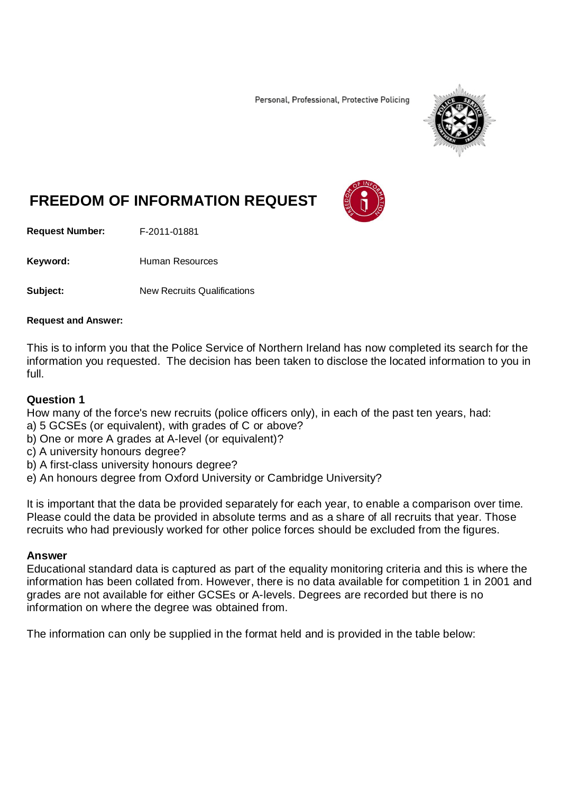Personal, Professional, Protective Policing



# **FREEDOM OF INFORMATION REQUEST**

**Request Number:** F-2011-01881

Keyword: Human Resources

**Subject:** New Recruits Qualifications

#### **Request and Answer:**

This is to inform you that the Police Service of Northern Ireland has now completed its search for the information you requested. The decision has been taken to disclose the located information to you in full.

### **Question 1**

How many of the force's new recruits (police officers only), in each of the past ten years, had:

- a) 5 GCSEs (or equivalent), with grades of C or above?
- b) One or more A grades at A-level (or equivalent)?
- c) A university honours degree?
- b) A first-class university honours degree?
- e) An honours degree from Oxford University or Cambridge University?

It is important that the data be provided separately for each year, to enable a comparison over time. Please could the data be provided in absolute terms and as a share of all recruits that year. Those recruits who had previously worked for other police forces should be excluded from the figures.

### **Answer**

Educational standard data is captured as part of the equality monitoring criteria and this is where the information has been collated from. However, there is no data available for competition 1 in 2001 and grades are not available for either GCSEs or A-levels. Degrees are recorded but there is no information on where the degree was obtained from.

The information can only be supplied in the format held and is provided in the table below: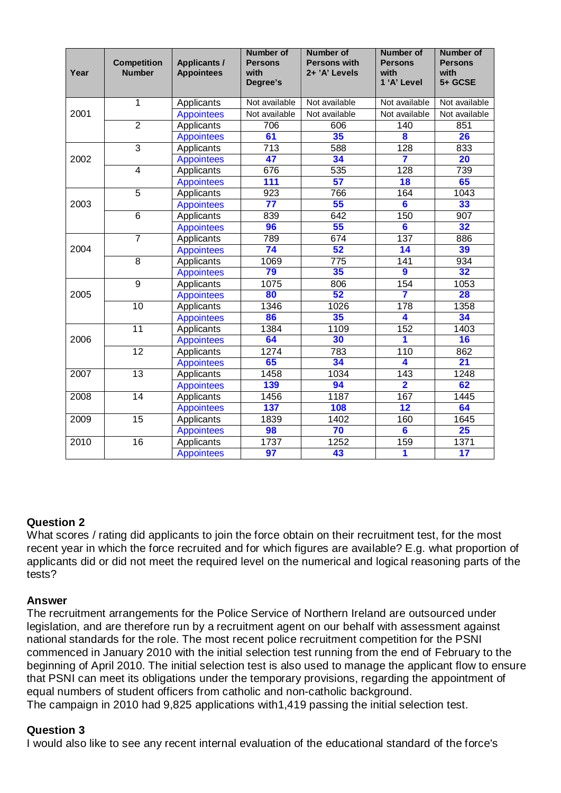| Year | <b>Competition</b><br><b>Number</b> | <b>Applicants /</b><br><b>Appointees</b> | <b>Number of</b><br><b>Persons</b><br>with<br>Degree's | <b>Number of</b><br><b>Persons with</b><br>2+ 'A' Levels | <b>Number of</b><br><b>Persons</b><br>with<br>1 'A' Level | <b>Number of</b><br><b>Persons</b><br>with<br>5+ GCSE |
|------|-------------------------------------|------------------------------------------|--------------------------------------------------------|----------------------------------------------------------|-----------------------------------------------------------|-------------------------------------------------------|
| 2001 | $\mathbf{1}$                        | Applicants                               | Not available                                          | Not available                                            | Not available                                             | Not available                                         |
|      |                                     | <b>Appointees</b>                        | Not available                                          | Not available                                            | Not available                                             | Not available                                         |
|      | $\overline{2}$                      | Applicants                               | 706                                                    | 606                                                      | 140                                                       | 851                                                   |
|      |                                     | <b>Appointees</b>                        | 61                                                     | 35                                                       | 8                                                         | 26                                                    |
| 2002 | $\overline{3}$                      | Applicants                               | 713                                                    | 588                                                      | 128                                                       | 833                                                   |
|      |                                     | <b>Appointees</b>                        | 47                                                     | 34                                                       | 7                                                         | $\overline{20}$                                       |
|      | $\overline{4}$                      | Applicants                               | 676                                                    | $\overline{535}$                                         | 128                                                       | 739                                                   |
|      |                                     | <b>Appointees</b>                        | 111                                                    | 57                                                       | $\overline{18}$                                           | 65                                                    |
| 2003 | $\overline{5}$                      | Applicants                               | 923                                                    | 766                                                      | 164                                                       | 1043                                                  |
|      |                                     | <b>Appointees</b>                        | 77                                                     | 55                                                       | $\overline{\bf{6}}$                                       | 33                                                    |
|      | $\overline{6}$                      | Applicants                               | 839                                                    | 642                                                      | 150                                                       | 907                                                   |
|      |                                     | <b>Appointees</b>                        | 96                                                     | 55                                                       | $6\phantom{a}$                                            | 32                                                    |
| 2004 | $\overline{7}$                      | Applicants                               | 789                                                    | 674                                                      | 137                                                       | 886                                                   |
|      |                                     | <b>Appointees</b>                        | $\overline{74}$                                        | 52                                                       | 14                                                        | 39                                                    |
|      | $\overline{8}$                      | Applicants                               | 1069                                                   | 775                                                      | $\overline{141}$                                          | 934                                                   |
|      |                                     | <b>Appointees</b>                        | 79                                                     | 35                                                       | $\overline{9}$                                            | 32                                                    |
| 2005 | 9                                   | Applicants                               | 1075                                                   | 806                                                      | 154                                                       | 1053                                                  |
|      |                                     | <b>Appointees</b>                        | 80                                                     | 52                                                       | 7                                                         | 28                                                    |
|      | $\overline{10}$                     | Applicants                               | 1346                                                   | 1026                                                     | 178                                                       | 1358                                                  |
|      |                                     | <b>Appointees</b>                        | 86                                                     | 35                                                       | 4                                                         | 34                                                    |
| 2006 | $\overline{11}$                     | Applicants                               | 1384                                                   | 1109                                                     | 152                                                       | 1403                                                  |
|      |                                     | <b>Appointees</b>                        | 64                                                     | 30                                                       | 1                                                         | 16                                                    |
|      | 12                                  | Applicants                               | 1274                                                   | 783                                                      | 110                                                       | 862                                                   |
|      |                                     | <b>Appointees</b>                        | 65                                                     | 34                                                       | 4                                                         | $\overline{21}$                                       |
| 2007 | 13                                  | Applicants                               | 1458                                                   | 1034                                                     | $\overline{143}$                                          | 1248                                                  |
|      |                                     | <b>Appointees</b>                        | 139                                                    | 94                                                       | $\overline{\mathbf{2}}$                                   | 62                                                    |
| 2008 | $\overline{14}$                     | Applicants                               | 1456                                                   | 1187                                                     | 167                                                       | 1445                                                  |
|      |                                     | <b>Appointees</b>                        | 137                                                    | 108                                                      | $\overline{\mathbf{12}}$                                  | 64                                                    |
| 2009 | $\overline{15}$                     | Applicants                               | 1839                                                   | 1402                                                     | 160                                                       | 1645                                                  |
|      |                                     | <b>Appointees</b>                        | 98                                                     | 70                                                       | $\overline{\bf{6}}$                                       | 25                                                    |
| 2010 | $\overline{16}$                     | Applicants                               | 1737                                                   | 1252                                                     | 159                                                       | 1371                                                  |
|      |                                     | <b>Appointees</b>                        | $\overline{97}$                                        | 43                                                       | 1                                                         | 17                                                    |

## **Question 2**

What scores / rating did applicants to join the force obtain on their recruitment test, for the most recent year in which the force recruited and for which figures are available? E.g. what proportion of applicants did or did not meet the required level on the numerical and logical reasoning parts of the tests?

## **Answer**

The recruitment arrangements for the Police Service of Northern Ireland are outsourced under legislation, and are therefore run by a recruitment agent on our behalf with assessment against national standards for the role. The most recent police recruitment competition for the PSNI commenced in January 2010 with the initial selection test running from the end of February to the beginning of April 2010. The initial selection test is also used to manage the applicant flow to ensure that PSNI can meet its obligations under the temporary provisions, regarding the appointment of equal numbers of student officers from catholic and non-catholic background. The campaign in 2010 had 9,825 applications with1,419 passing the initial selection test.

### **Question 3**

I would also like to see any recent internal evaluation of the educational standard of the force's